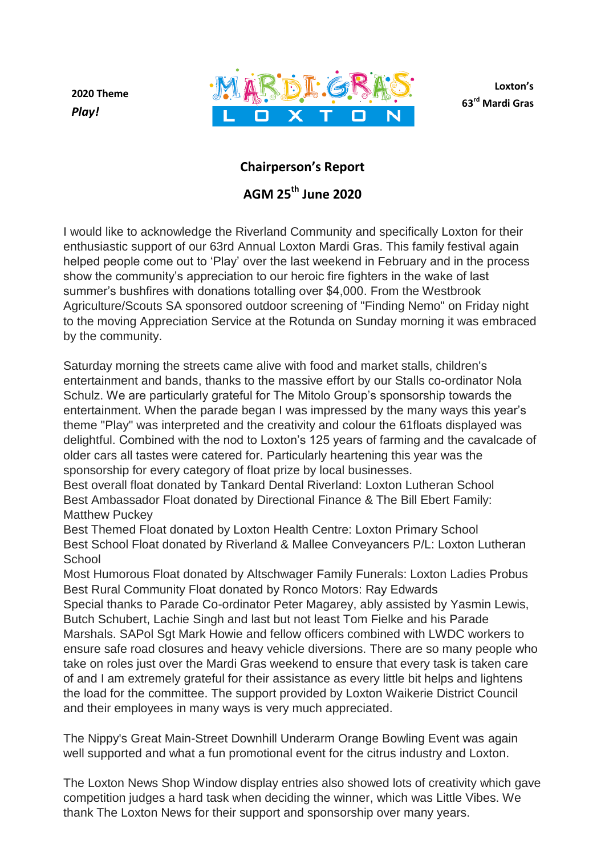**2020 Theme** *Play!*



**Loxton's 63rd Mardi Gras**

## **Chairperson's Report**

## **AGM 25 th June 2020**

I would like to acknowledge the Riverland Community and specifically Loxton for their enthusiastic support of our 63rd Annual Loxton Mardi Gras. This family festival again helped people come out to 'Play' over the last weekend in February and in the process show the community's appreciation to our heroic fire fighters in the wake of last summer's bushfires with donations totalling over \$4,000. From the Westbrook Agriculture/Scouts SA sponsored outdoor screening of "Finding Nemo" on Friday night to the moving Appreciation Service at the Rotunda on Sunday morning it was embraced by the community.

Saturday morning the streets came alive with food and market stalls, children's entertainment and bands, thanks to the massive effort by our Stalls co-ordinator Nola Schulz. We are particularly grateful for The Mitolo Group's sponsorship towards the entertainment. When the parade began I was impressed by the many ways this year's theme "Play" was interpreted and the creativity and colour the 61floats displayed was delightful. Combined with the nod to Loxton's 125 years of farming and the cavalcade of older cars all tastes were catered for. Particularly heartening this year was the sponsorship for every category of float prize by local businesses.

Best overall float donated by Tankard Dental Riverland: Loxton Lutheran School Best Ambassador Float donated by Directional Finance & The Bill Ebert Family: Matthew Puckey

Best Themed Float donated by Loxton Health Centre: Loxton Primary School Best School Float donated by Riverland & Mallee Conveyancers P/L: Loxton Lutheran **School** 

Most Humorous Float donated by Altschwager Family Funerals: Loxton Ladies Probus Best Rural Community Float donated by Ronco Motors: Ray Edwards Special thanks to Parade Co-ordinator Peter Magarey, ably assisted by Yasmin Lewis, Butch Schubert, Lachie Singh and last but not least Tom Fielke and his Parade Marshals. SAPol Sgt Mark Howie and fellow officers combined with LWDC workers to ensure safe road closures and heavy vehicle diversions. There are so many people who take on roles just over the Mardi Gras weekend to ensure that every task is taken care of and I am extremely grateful for their assistance as every little bit helps and lightens the load for the committee. The support provided by Loxton Waikerie District Council and their employees in many ways is very much appreciated.

The Nippy's Great Main-Street Downhill Underarm Orange Bowling Event was again well supported and what a fun promotional event for the citrus industry and Loxton.

The Loxton News Shop Window display entries also showed lots of creativity which gave competition judges a hard task when deciding the winner, which was Little Vibes. We thank The Loxton News for their support and sponsorship over many years.